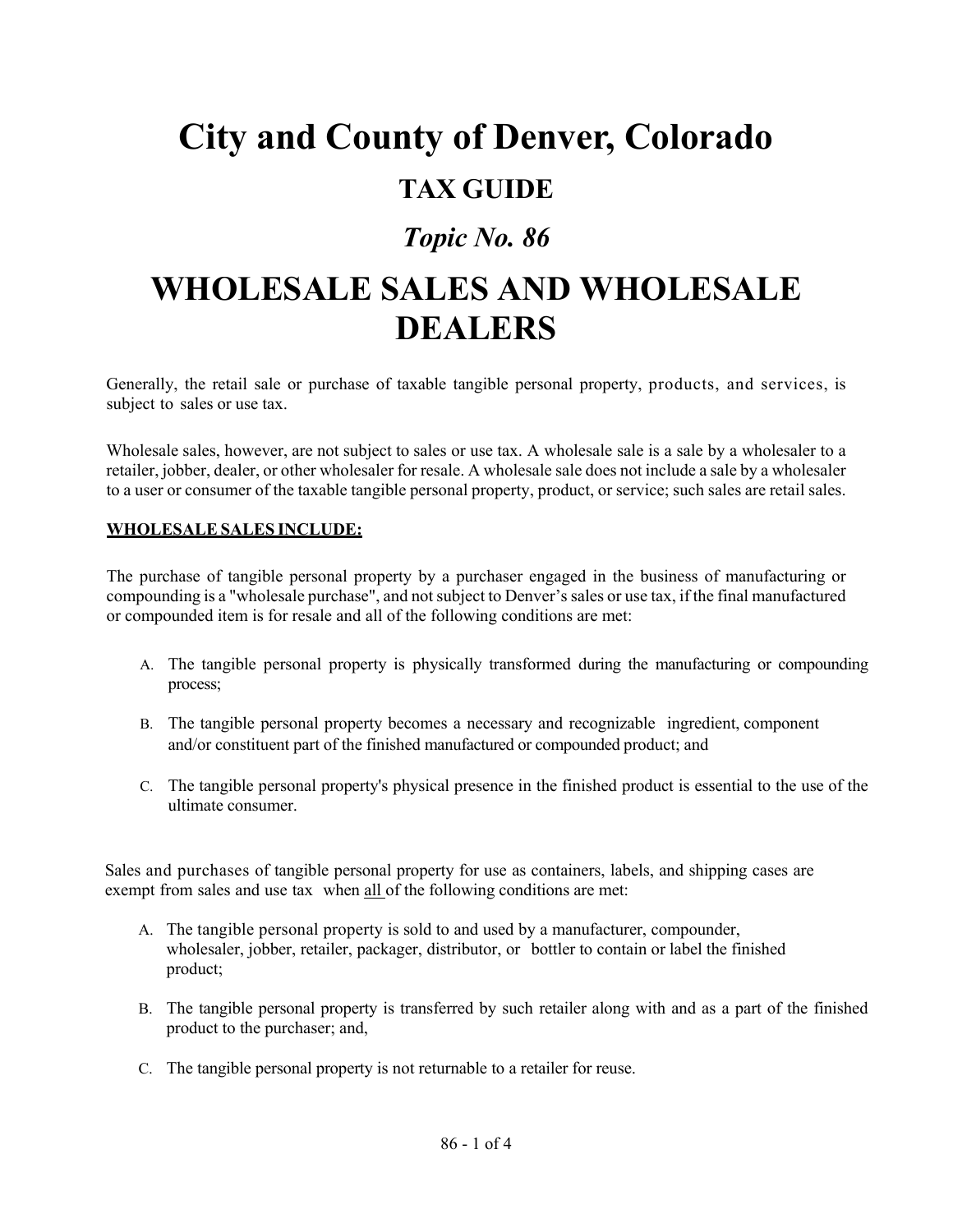# **City and County of Denver, Colorado**

### **TAX GUIDE**

## *Topic No. 86*

# **WHOLESALE SALES AND WHOLESALE DEALERS**

Generally, the retail sale or purchase of taxable tangible personal property, products, and services, is subject to sales or use tax.

Wholesale sales, however, are not subject to sales or use tax. A wholesale sale is a sale by a wholesaler to a retailer, jobber, dealer, or other wholesaler for resale. A wholesale sale does not include a sale by a wholesaler to a user or consumer of the taxable tangible personal property, product, or service; such sales are retail sales.

#### **WHOLESALE SALES INCLUDE:**

The purchase of tangible personal property by a purchaser engaged in the business of manufacturing or compounding is a "wholesale purchase", and not subject to Denver's sales or use tax, if the final manufactured or compounded item is for resale and all of the following conditions are met:

- A. The tangible personal property is physically transformed during the manufacturing or compounding process;
- B. The tangible personal property becomes a necessary and recognizable ingredient, component and/or constituent part of the finished manufactured or compounded product; and
- C. The tangible personal property's physical presence in the finished product is essential to the use of the ultimate consumer.

Sales and purchases of tangible personal property for use as containers, labels, and shipping cases are exempt from sales and use tax when all of the following conditions are met:

- A. The tangible personal property is sold to and used by a manufacturer, compounder, wholesaler, jobber, retailer, packager, distributor, or bottler to contain or label the finished product;
- B. The tangible personal property is transferred by such retailer along with and as a part of the finished product to the purchaser; and,
- C. The tangible personal property is not returnable to a retailer for reuse.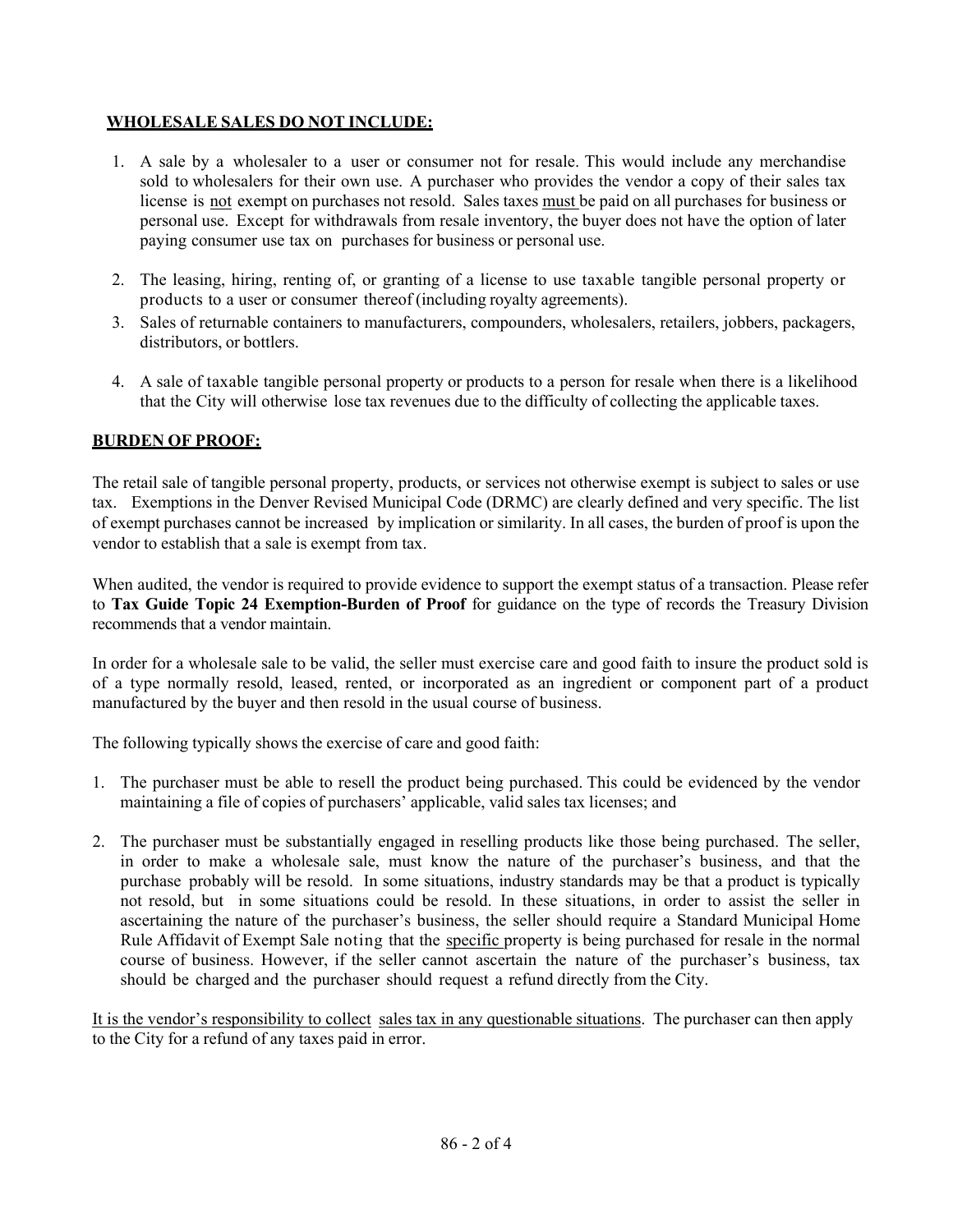#### **WHOLESALE SALES DO NOT INCLUDE:**

- 1. A sale by a wholesaler to a user or consumer not for resale. This would include any merchandise sold to wholesalers for their own use. A purchaser who provides the vendor a copy of their sales tax license is not exempt on purchases not resold. Sales taxes must be paid on all purchases for business or personal use. Except for withdrawals from resale inventory, the buyer does not have the option of later paying consumer use tax on purchases for business or personal use.
- 2. The leasing, hiring, renting of, or granting of a license to use taxable tangible personal property or products to a user or consumer thereof (including royalty agreements).
- 3. Sales of returnable containers to manufacturers, compounders, wholesalers, retailers, jobbers, packagers, distributors, or bottlers.
- 4. A sale of taxable tangible personal property or products to a person for resale when there is a likelihood that the City will otherwise lose tax revenues due to the difficulty of collecting the applicable taxes.

#### **BURDEN OF PROOF:**

The retail sale of tangible personal property, products, or services not otherwise exempt is subject to sales or use tax. Exemptions in the Denver Revised Municipal Code (DRMC) are clearly defined and very specific. The list of exempt purchases cannot be increased by implication or similarity. In all cases, the burden of proof is upon the vendor to establish that a sale is exempt from tax.

When audited, the vendor is required to provide evidence to support the exempt status of a transaction. Please refer to **Tax Guide Topic 24 Exemption-Burden of Proof** for guidance on the type of records the Treasury Division recommends that a vendor maintain.

In order for a wholesale sale to be valid, the seller must exercise care and good faith to insure the product sold is of a type normally resold, leased, rented, or incorporated as an ingredient or component part of a product manufactured by the buyer and then resold in the usual course of business.

The following typically shows the exercise of care and good faith:

- 1. The purchaser must be able to resell the product being purchased. This could be evidenced by the vendor maintaining a file of copies of purchasers' applicable, valid sales tax licenses; and
- 2. The purchaser must be substantially engaged in reselling products like those being purchased. The seller, in order to make a wholesale sale, must know the nature of the purchaser's business, and that the purchase probably will be resold. In some situations, industry standards may be that a product is typically not resold, but in some situations could be resold. In these situations, in order to assist the seller in ascertaining the nature of the purchaser's business, the seller should require a Standard Municipal Home Rule Affidavit of Exempt Sale noting that the specific property is being purchased for resale in the normal course of business. However, if the seller cannot ascertain the nature of the purchaser's business, tax should be charged and the purchaser should request a refund directly from the City.

It is the vendor's responsibility to collect sales tax in any questionable situations. The purchaser can then apply to the City for a refund of any taxes paid in error.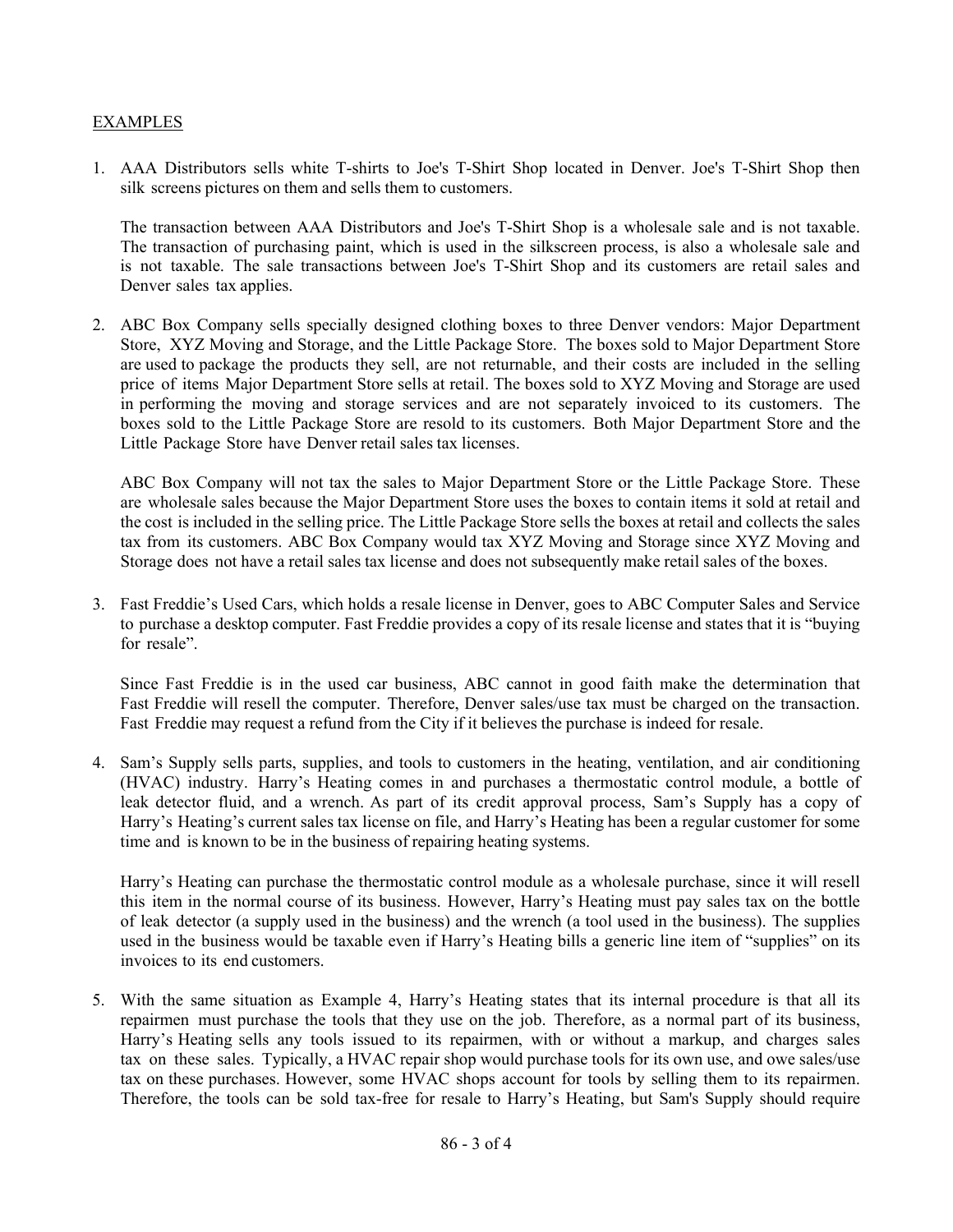#### EXAMPLES

1. AAA Distributors sells white T-shirts to Joe's T-Shirt Shop located in Denver. Joe's T-Shirt Shop then silk screens pictures on them and sells them to customers.

The transaction between AAA Distributors and Joe's T-Shirt Shop is a wholesale sale and is not taxable. The transaction of purchasing paint, which is used in the silkscreen process, is also a wholesale sale and is not taxable. The sale transactions between Joe's T-Shirt Shop and its customers are retail sales and Denver sales tax applies.

2. ABC Box Company sells specially designed clothing boxes to three Denver vendors: Major Department Store, XYZ Moving and Storage, and the Little Package Store. The boxes sold to Major Department Store are used to package the products they sell, are not returnable, and their costs are included in the selling price of items Major Department Store sells at retail. The boxes sold to XYZ Moving and Storage are used in performing the moving and storage services and are not separately invoiced to its customers. The boxes sold to the Little Package Store are resold to its customers. Both Major Department Store and the Little Package Store have Denver retail sales tax licenses.

ABC Box Company will not tax the sales to Major Department Store or the Little Package Store. These are wholesale sales because the Major Department Store uses the boxes to contain items it sold at retail and the cost is included in the selling price. The Little Package Store sells the boxes at retail and collects the sales tax from its customers. ABC Box Company would tax XYZ Moving and Storage since XYZ Moving and Storage does not have a retail sales tax license and does not subsequently make retail sales of the boxes.

3. Fast Freddie's Used Cars, which holds a resale license in Denver, goes to ABC Computer Sales and Service to purchase a desktop computer. Fast Freddie provides a copy of its resale license and states that it is "buying for resale".

Since Fast Freddie is in the used car business, ABC cannot in good faith make the determination that Fast Freddie will resell the computer. Therefore, Denver sales/use tax must be charged on the transaction. Fast Freddie may request a refund from the City if it believes the purchase is indeed for resale.

4. Sam's Supply sells parts, supplies, and tools to customers in the heating, ventilation, and air conditioning (HVAC) industry. Harry's Heating comes in and purchases a thermostatic control module, a bottle of leak detector fluid, and a wrench. As part of its credit approval process, Sam's Supply has a copy of Harry's Heating's current sales tax license on file, and Harry's Heating has been a regular customer for some time and is known to be in the business of repairing heating systems.

Harry's Heating can purchase the thermostatic control module as a wholesale purchase, since it will resell this item in the normal course of its business. However, Harry's Heating must pay sales tax on the bottle of leak detector (a supply used in the business) and the wrench (a tool used in the business). The supplies used in the business would be taxable even if Harry's Heating bills a generic line item of "supplies" on its invoices to its end customers.

5. With the same situation as Example 4, Harry's Heating states that its internal procedure is that all its repairmen must purchase the tools that they use on the job. Therefore, as a normal part of its business, Harry's Heating sells any tools issued to its repairmen, with or without a markup, and charges sales tax on these sales. Typically, a HVAC repair shop would purchase tools for its own use, and owe sales/use tax on these purchases. However, some HVAC shops account for tools by selling them to its repairmen. Therefore, the tools can be sold tax-free for resale to Harry's Heating, but Sam's Supply should require